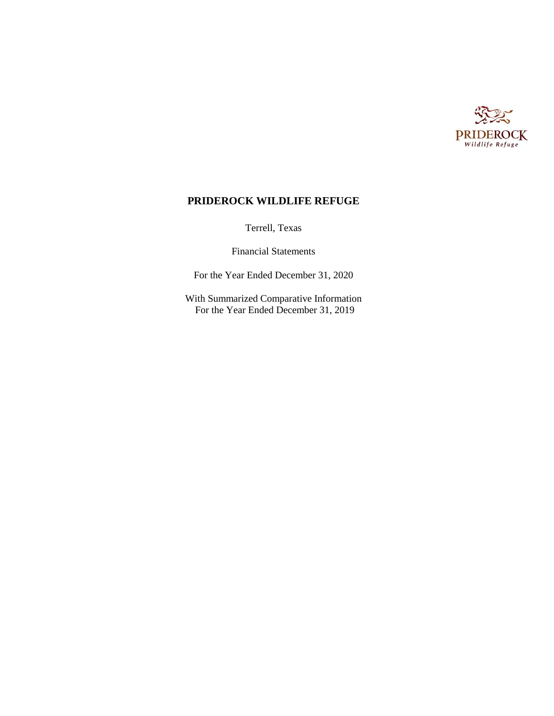

Terrell, Texas

Financial Statements

For the Year Ended December 31, 2020

With Summarized Comparative Information For the Year Ended December 31, 2019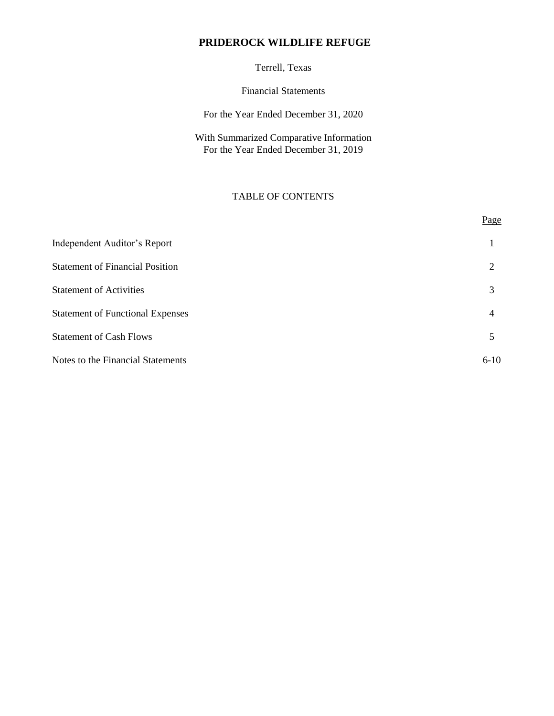### Terrell, Texas

#### Financial Statements

For the Year Ended December 31, 2020

### With Summarized Comparative Information For the Year Ended December 31, 2019

# TABLE OF CONTENTS

Page

| Independent Auditor's Report            |          |
|-----------------------------------------|----------|
| <b>Statement of Financial Position</b>  | 2        |
| <b>Statement of Activities</b>          | 3        |
| <b>Statement of Functional Expenses</b> | 4        |
| <b>Statement of Cash Flows</b>          | 5        |
| Notes to the Financial Statements       | $6 - 10$ |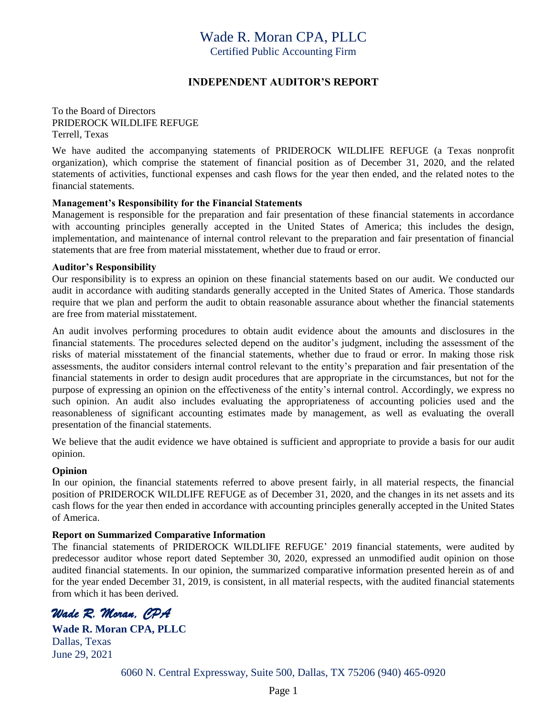# Wade R. Moran CPA, PLLC

Certified Public Accounting Firm

### **INDEPENDENT AUDITOR'S REPORT**

### To the Board of Directors PRIDEROCK WILDLIFE REFUGE Terrell, Texas

We have audited the accompanying statements of PRIDEROCK WILDLIFE REFUGE (a Texas nonprofit organization), which comprise the statement of financial position as of December 31, 2020, and the related statements of activities, functional expenses and cash flows for the year then ended, and the related notes to the financial statements.

#### **Management's Responsibility for the Financial Statements**

Management is responsible for the preparation and fair presentation of these financial statements in accordance with accounting principles generally accepted in the United States of America; this includes the design, implementation, and maintenance of internal control relevant to the preparation and fair presentation of financial statements that are free from material misstatement, whether due to fraud or error.

#### **Auditor's Responsibility**

Our responsibility is to express an opinion on these financial statements based on our audit. We conducted our audit in accordance with auditing standards generally accepted in the United States of America. Those standards require that we plan and perform the audit to obtain reasonable assurance about whether the financial statements are free from material misstatement.

An audit involves performing procedures to obtain audit evidence about the amounts and disclosures in the financial statements. The procedures selected depend on the auditor's judgment, including the assessment of the risks of material misstatement of the financial statements, whether due to fraud or error. In making those risk assessments, the auditor considers internal control relevant to the entity's preparation and fair presentation of the financial statements in order to design audit procedures that are appropriate in the circumstances, but not for the purpose of expressing an opinion on the effectiveness of the entity's internal control. Accordingly, we express no such opinion. An audit also includes evaluating the appropriateness of accounting policies used and the reasonableness of significant accounting estimates made by management, as well as evaluating the overall presentation of the financial statements.

We believe that the audit evidence we have obtained is sufficient and appropriate to provide a basis for our audit opinion.

#### **Opinion**

In our opinion, the financial statements referred to above present fairly, in all material respects, the financial position of PRIDEROCK WILDLIFE REFUGE as of December 31, 2020, and the changes in its net assets and its cash flows for the year then ended in accordance with accounting principles generally accepted in the United States of America.

#### **Report on Summarized Comparative Information**

The financial statements of PRIDEROCK WILDLIFE REFUGE' 2019 financial statements, were audited by predecessor auditor whose report dated September 30, 2020, expressed an unmodified audit opinion on those audited financial statements. In our opinion, the summarized comparative information presented herein as of and for the year ended December 31, 2019, is consistent, in all material respects, with the audited financial statements from which it has been derived.

*Wade R. Moran, CPA* 

**Wade R. Moran CPA, PLLC** Dallas, Texas June 29, 2021

6060 N. Central Expressway, Suite 500, Dallas, TX 75206 (940) 465-0920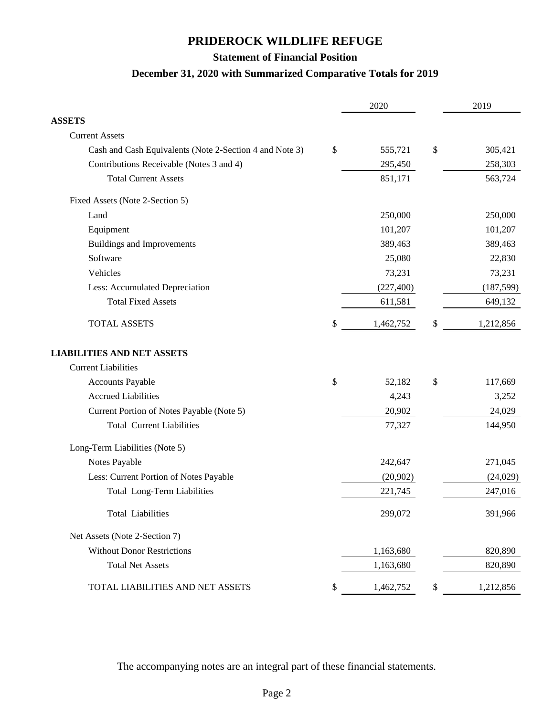# **Statement of Financial Position**

# **December 31, 2020 with Summarized Comparative Totals for 2019**

|                                                         | 2020            |    | 2019       |
|---------------------------------------------------------|-----------------|----|------------|
| <b>ASSETS</b>                                           |                 |    |            |
| <b>Current Assets</b>                                   |                 |    |            |
| Cash and Cash Equivalents (Note 2-Section 4 and Note 3) | \$<br>555,721   | \$ | 305,421    |
| Contributions Receivable (Notes 3 and 4)                | 295,450         |    | 258,303    |
| <b>Total Current Assets</b>                             | 851,171         |    | 563,724    |
| Fixed Assets (Note 2-Section 5)                         |                 |    |            |
| Land                                                    | 250,000         |    | 250,000    |
| Equipment                                               | 101,207         |    | 101,207    |
| <b>Buildings and Improvements</b>                       | 389,463         |    | 389,463    |
| Software                                                | 25,080          |    | 22,830     |
| Vehicles                                                | 73,231          |    | 73,231     |
| Less: Accumulated Depreciation                          | (227, 400)      |    | (187, 599) |
| <b>Total Fixed Assets</b>                               | 611,581         |    | 649,132    |
| <b>TOTAL ASSETS</b>                                     | \$<br>1,462,752 | \$ | 1,212,856  |
| <b>LIABILITIES AND NET ASSETS</b>                       |                 |    |            |
| <b>Current Liabilities</b>                              |                 |    |            |
| <b>Accounts Payable</b>                                 | \$<br>52,182    | \$ | 117,669    |
| <b>Accrued Liabilities</b>                              | 4,243           |    | 3,252      |
| Current Portion of Notes Payable (Note 5)               | 20,902          |    | 24,029     |
| <b>Total Current Liabilities</b>                        | 77,327          |    | 144,950    |
| Long-Term Liabilities (Note 5)                          |                 |    |            |
| Notes Payable                                           | 242,647         |    | 271,045    |
| Less: Current Portion of Notes Payable                  | (20,902)        |    | (24,029)   |
| Total Long-Term Liabilities                             | 221,745         |    | 247,016    |
| <b>Total Liabilities</b>                                | 299,072         |    | 391,966    |
| Net Assets (Note 2-Section 7)                           |                 |    |            |
| <b>Without Donor Restrictions</b>                       | 1,163,680       |    | 820,890    |
| <b>Total Net Assets</b>                                 | 1,163,680       |    | 820,890    |
| TOTAL LIABILITIES AND NET ASSETS                        | \$<br>1,462,752 | \$ | 1,212,856  |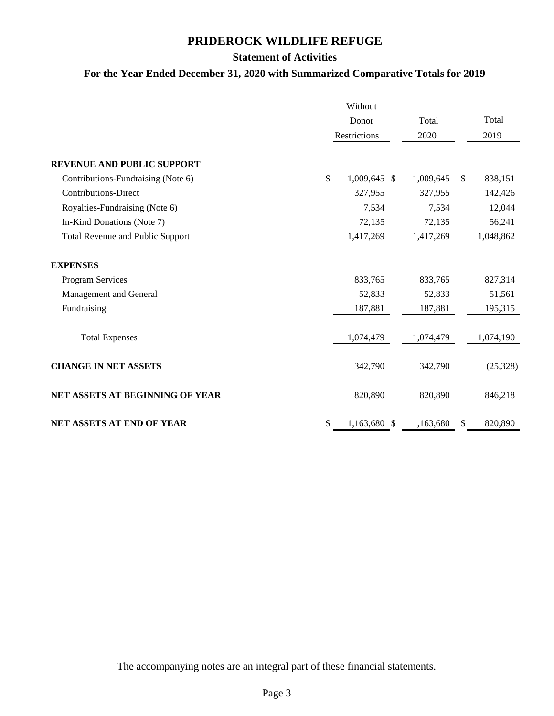# **Statement of Activities**

# **For the Year Ended December 31, 2020 with Summarized Comparative Totals for 2019**

|                                         |               | Without      |           |    |           |
|-----------------------------------------|---------------|--------------|-----------|----|-----------|
|                                         | Donor         |              | Total     |    | Total     |
|                                         |               | Restrictions | 2020      |    | 2019      |
| <b>REVENUE AND PUBLIC SUPPORT</b>       |               |              |           |    |           |
| Contributions-Fundraising (Note 6)      | $\mathcal{S}$ | 1,009,645 \$ | 1,009,645 | \$ | 838,151   |
| <b>Contributions-Direct</b>             |               | 327,955      | 327,955   |    | 142,426   |
| Royalties-Fundraising (Note 6)          |               | 7,534        | 7,534     |    | 12,044    |
| In-Kind Donations (Note 7)              |               | 72,135       | 72,135    |    | 56,241    |
| <b>Total Revenue and Public Support</b> |               | 1,417,269    | 1,417,269 |    | 1,048,862 |
| <b>EXPENSES</b>                         |               |              |           |    |           |
| Program Services                        |               | 833,765      | 833,765   |    | 827,314   |
| Management and General                  |               | 52,833       | 52,833    |    | 51,561    |
| Fundraising                             |               | 187,881      | 187,881   |    | 195,315   |
| <b>Total Expenses</b>                   |               | 1,074,479    | 1,074,479 |    | 1,074,190 |
| <b>CHANGE IN NET ASSETS</b>             |               | 342,790      | 342,790   |    | (25,328)  |
| NET ASSETS AT BEGINNING OF YEAR         |               | 820,890      | 820,890   |    | 846,218   |
| NET ASSETS AT END OF YEAR               | \$            | 1,163,680 \$ | 1,163,680 | \$ | 820,890   |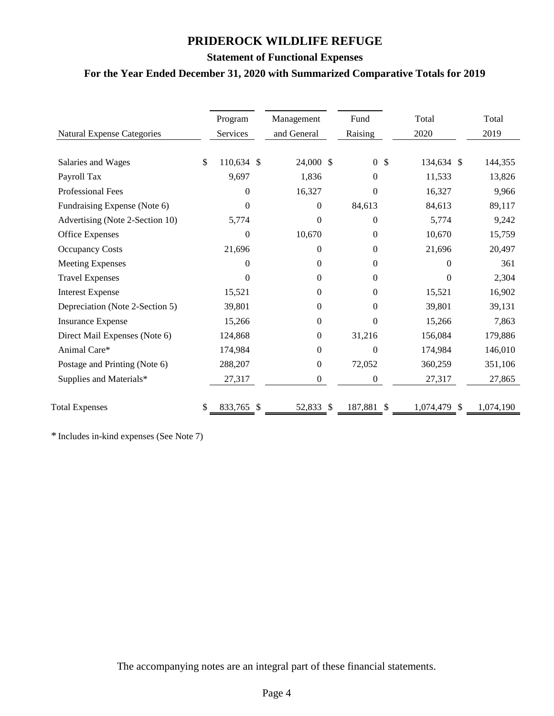# **Statement of Functional Expenses**

# **For the Year Ended December 31, 2020 with Summarized Comparative Totals for 2019**

| <b>Natural Expense Categories</b> | Program<br>Services |          | Management<br>and General |     | Fund<br>Raising                 | Total<br>2020         | Total<br>2019 |
|-----------------------------------|---------------------|----------|---------------------------|-----|---------------------------------|-----------------------|---------------|
|                                   |                     |          |                           |     |                                 |                       |               |
| Salaries and Wages                | \$<br>110,634 \$    |          | 24,000 \$                 |     | $\overline{0}$<br>$\mathcal{S}$ | 134,634 \$            | 144,355       |
| Payroll Tax                       | 9,697               |          | 1,836                     |     | $\Omega$                        | 11,533                | 13,826        |
| <b>Professional Fees</b>          | 0                   |          | 16,327                    |     | $\theta$                        | 16,327                | 9,966         |
| Fundraising Expense (Note 6)      | 0                   |          | $\overline{0}$            |     | 84,613                          | 84,613                | 89,117        |
| Advertising (Note 2-Section 10)   | 5,774               |          | $\overline{0}$            |     | $\Omega$                        | 5,774                 | 9,242         |
| Office Expenses                   | $\theta$            |          | 10,670                    |     | $\Omega$                        | 10,670                | 15,759        |
| <b>Occupancy Costs</b>            | 21,696              |          | $\theta$                  |     | $\Omega$                        | 21,696                | 20,497        |
| <b>Meeting Expenses</b>           | 0                   |          | $\theta$                  |     | $\Omega$                        | $\theta$              | 361           |
| <b>Travel Expenses</b>            | 0                   |          | $\theta$                  |     | $\Omega$                        | 0                     | 2,304         |
| <b>Interest Expense</b>           | 15,521              |          | $\theta$                  |     | $\Omega$                        | 15,521                | 16,902        |
| Depreciation (Note 2-Section 5)   | 39,801              |          | $\boldsymbol{0}$          |     | $\Omega$                        | 39,801                | 39,131        |
| <b>Insurance Expense</b>          | 15,266              |          | $\overline{0}$            |     | $\Omega$                        | 15,266                | 7,863         |
| Direct Mail Expenses (Note 6)     | 124,868             |          | $\overline{0}$            |     | 31,216                          | 156,084               | 179,886       |
| Animal Care*                      | 174,984             |          | $\Omega$                  |     | $\Omega$                        | 174,984               | 146,010       |
| Postage and Printing (Note 6)     | 288,207             |          | $\overline{0}$            |     | 72,052                          | 360,259               | 351,106       |
| Supplies and Materials*           | 27,317              |          | $\theta$                  |     | $\theta$                        | 27,317                | 27,865        |
| <b>Total Expenses</b>             | \$<br>833,765       | <b>S</b> | 52,833                    | \$. | 187,881<br>-\$                  | 1,074,479<br><b>S</b> | 1,074,190     |

\* Includes in-kind expenses (See Note 7)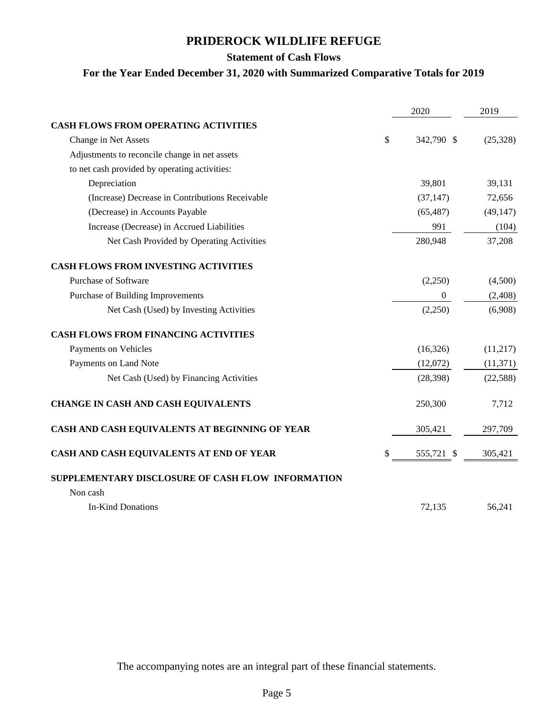# **Statement of Cash Flows**

# **For the Year Ended December 31, 2020 with Summarized Comparative Totals for 2019**

|                                                                                           | 2020             | 2019      |
|-------------------------------------------------------------------------------------------|------------------|-----------|
| <b>CASH FLOWS FROM OPERATING ACTIVITIES</b>                                               |                  |           |
| Change in Net Assets                                                                      | \$<br>342,790 \$ | (25, 328) |
| Adjustments to reconcile change in net assets                                             |                  |           |
| to net cash provided by operating activities:                                             |                  |           |
| Depreciation                                                                              | 39,801           | 39,131    |
| (Increase) Decrease in Contributions Receivable                                           | (37, 147)        | 72,656    |
| (Decrease) in Accounts Payable                                                            | (65, 487)        | (49, 147) |
| Increase (Decrease) in Accrued Liabilities                                                | 991              | (104)     |
| Net Cash Provided by Operating Activities                                                 | 280,948          | 37,208    |
| <b>CASH FLOWS FROM INVESTING ACTIVITIES</b>                                               |                  |           |
| Purchase of Software                                                                      | (2,250)          | (4,500)   |
| Purchase of Building Improvements                                                         | $\boldsymbol{0}$ | (2,408)   |
| Net Cash (Used) by Investing Activities                                                   | (2,250)          | (6,908)   |
| <b>CASH FLOWS FROM FINANCING ACTIVITIES</b>                                               |                  |           |
| Payments on Vehicles                                                                      | (16, 326)        | (11,217)  |
| Payments on Land Note                                                                     | (12,072)         | (11, 371) |
| Net Cash (Used) by Financing Activities                                                   | (28, 398)        | (22, 588) |
| <b>CHANGE IN CASH AND CASH EQUIVALENTS</b>                                                | 250,300          | 7,712     |
| CASH AND CASH EQUIVALENTS AT BEGINNING OF YEAR                                            | 305,421          | 297,709   |
| CASH AND CASH EQUIVALENTS AT END OF YEAR                                                  | \$<br>555,721 \$ | 305,421   |
| SUPPLEMENTARY DISCLOSURE OF CASH FLOW INFORMATION<br>Non cash<br><b>In-Kind Donations</b> | 72,135           | 56,241    |
|                                                                                           |                  |           |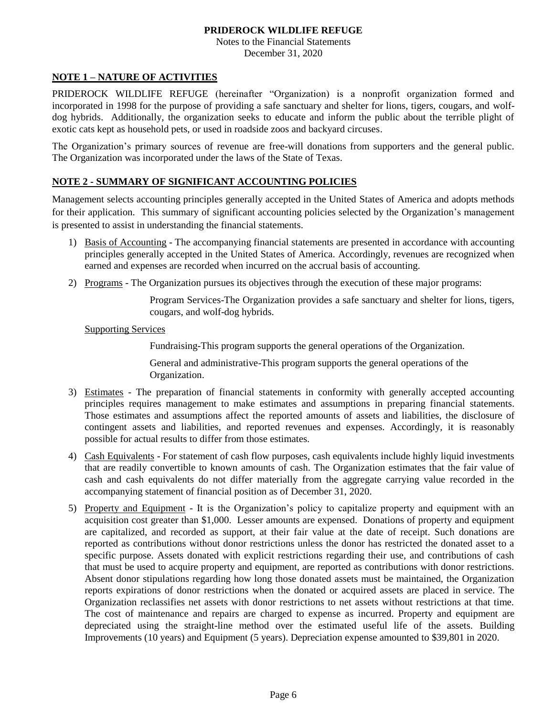Notes to the Financial Statements December 31, 2020

### **NOTE 1 – NATURE OF ACTIVITIES**

PRIDEROCK WILDLIFE REFUGE (hereinafter "Organization) is a nonprofit organization formed and incorporated in 1998 for the purpose of providing a safe sanctuary and shelter for lions, tigers, cougars, and wolfdog hybrids. Additionally, the organization seeks to educate and inform the public about the terrible plight of exotic cats kept as household pets, or used in roadside zoos and backyard circuses.

The Organization's primary sources of revenue are free-will donations from supporters and the general public. The Organization was incorporated under the laws of the State of Texas.

### **NOTE 2 - SUMMARY OF SIGNIFICANT ACCOUNTING POLICIES**

Management selects accounting principles generally accepted in the United States of America and adopts methods for their application. This summary of significant accounting policies selected by the Organization's management is presented to assist in understanding the financial statements.

- 1) Basis of Accounting The accompanying financial statements are presented in accordance with accounting principles generally accepted in the United States of America. Accordingly, revenues are recognized when earned and expenses are recorded when incurred on the accrual basis of accounting.
- 2) Programs The Organization pursues its objectives through the execution of these major programs:

Program Services-The Organization provides a safe sanctuary and shelter for lions, tigers, cougars, and wolf-dog hybrids.

#### Supporting Services

Fundraising-This program supports the general operations of the Organization.

General and administrative-This program supports the general operations of the Organization.

- 3) Estimates The preparation of financial statements in conformity with generally accepted accounting principles requires management to make estimates and assumptions in preparing financial statements. Those estimates and assumptions affect the reported amounts of assets and liabilities, the disclosure of contingent assets and liabilities, and reported revenues and expenses. Accordingly, it is reasonably possible for actual results to differ from those estimates.
- 4) Cash Equivalents For statement of cash flow purposes, cash equivalents include highly liquid investments that are readily convertible to known amounts of cash. The Organization estimates that the fair value of cash and cash equivalents do not differ materially from the aggregate carrying value recorded in the accompanying statement of financial position as of December 31, 2020.
- 5) Property and Equipment It is the Organization's policy to capitalize property and equipment with an acquisition cost greater than \$1,000. Lesser amounts are expensed. Donations of property and equipment are capitalized, and recorded as support, at their fair value at the date of receipt. Such donations are reported as contributions without donor restrictions unless the donor has restricted the donated asset to a specific purpose. Assets donated with explicit restrictions regarding their use, and contributions of cash that must be used to acquire property and equipment, are reported as contributions with donor restrictions. Absent donor stipulations regarding how long those donated assets must be maintained, the Organization reports expirations of donor restrictions when the donated or acquired assets are placed in service. The Organization reclassifies net assets with donor restrictions to net assets without restrictions at that time. The cost of maintenance and repairs are charged to expense as incurred. Property and equipment are depreciated using the straight-line method over the estimated useful life of the assets. Building Improvements (10 years) and Equipment (5 years). Depreciation expense amounted to \$39,801 in 2020.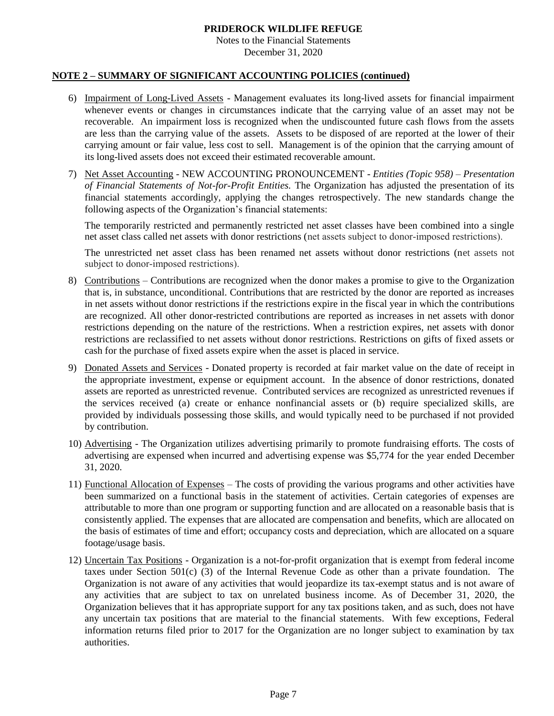Notes to the Financial Statements December 31, 2020

#### **NOTE 2 – SUMMARY OF SIGNIFICANT ACCOUNTING POLICIES (continued)**

- 6) Impairment of Long-Lived Assets Management evaluates its long-lived assets for financial impairment whenever events or changes in circumstances indicate that the carrying value of an asset may not be recoverable. An impairment loss is recognized when the undiscounted future cash flows from the assets are less than the carrying value of the assets. Assets to be disposed of are reported at the lower of their carrying amount or fair value, less cost to sell. Management is of the opinion that the carrying amount of its long-lived assets does not exceed their estimated recoverable amount.
- 7) Net Asset Accounting NEW ACCOUNTING PRONOUNCEMENT *Entities (Topic 958) – Presentation of Financial Statements of Not-for-Profit Entities.* The Organization has adjusted the presentation of its financial statements accordingly, applying the changes retrospectively. The new standards change the following aspects of the Organization's financial statements:

The temporarily restricted and permanently restricted net asset classes have been combined into a single net asset class called net assets with donor restrictions (net assets subject to donor‐imposed restrictions).

The unrestricted net asset class has been renamed net assets without donor restrictions (net assets not subject to donor‐imposed restrictions).

- 8) Contributions Contributions are recognized when the donor makes a promise to give to the Organization that is, in substance, unconditional. Contributions that are restricted by the donor are reported as increases in net assets without donor restrictions if the restrictions expire in the fiscal year in which the contributions are recognized. All other donor-restricted contributions are reported as increases in net assets with donor restrictions depending on the nature of the restrictions. When a restriction expires, net assets with donor restrictions are reclassified to net assets without donor restrictions. Restrictions on gifts of fixed assets or cash for the purchase of fixed assets expire when the asset is placed in service.
- 9) Donated Assets and Services Donated property is recorded at fair market value on the date of receipt in the appropriate investment, expense or equipment account. In the absence of donor restrictions, donated assets are reported as unrestricted revenue. Contributed services are recognized as unrestricted revenues if the services received (a) create or enhance nonfinancial assets or (b) require specialized skills, are provided by individuals possessing those skills, and would typically need to be purchased if not provided by contribution.
- 10) Advertising The Organization utilizes advertising primarily to promote fundraising efforts. The costs of advertising are expensed when incurred and advertising expense was \$5,774 for the year ended December 31, 2020.
- 11) Functional Allocation of Expenses The costs of providing the various programs and other activities have been summarized on a functional basis in the statement of activities. Certain categories of expenses are attributable to more than one program or supporting function and are allocated on a reasonable basis that is consistently applied. The expenses that are allocated are compensation and benefits, which are allocated on the basis of estimates of time and effort; occupancy costs and depreciation, which are allocated on a square footage/usage basis.
- 12) Uncertain Tax Positions Organization is a not-for-profit organization that is exempt from federal income taxes under Section 501(c) (3) of the Internal Revenue Code as other than a private foundation. The Organization is not aware of any activities that would jeopardize its tax-exempt status and is not aware of any activities that are subject to tax on unrelated business income. As of December 31, 2020, the Organization believes that it has appropriate support for any tax positions taken, and as such, does not have any uncertain tax positions that are material to the financial statements. With few exceptions, Federal information returns filed prior to 2017 for the Organization are no longer subject to examination by tax authorities.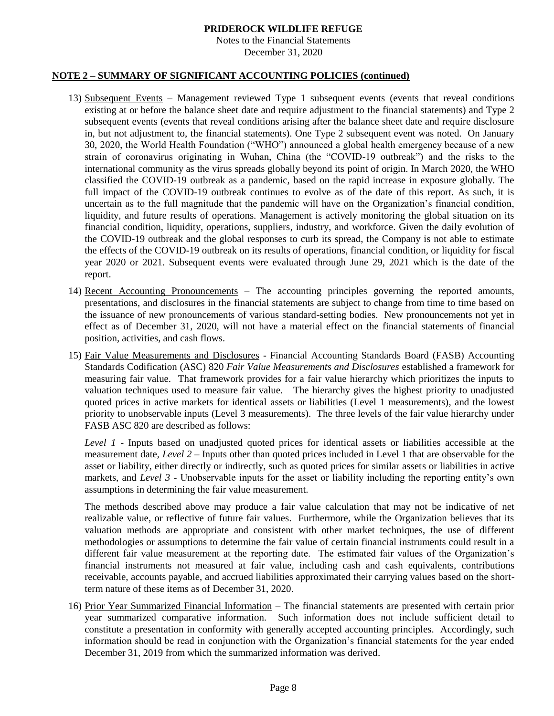Notes to the Financial Statements December 31, 2020

### **NOTE 2 – SUMMARY OF SIGNIFICANT ACCOUNTING POLICIES (continued)**

- 13) Subsequent Events Management reviewed Type 1 subsequent events (events that reveal conditions existing at or before the balance sheet date and require adjustment to the financial statements) and Type 2 subsequent events (events that reveal conditions arising after the balance sheet date and require disclosure in, but not adjustment to, the financial statements). One Type 2 subsequent event was noted. On January 30, 2020, the World Health Foundation ("WHO") announced a global health emergency because of a new strain of coronavirus originating in Wuhan, China (the "COVID-19 outbreak") and the risks to the international community as the virus spreads globally beyond its point of origin. In March 2020, the WHO classified the COVID-19 outbreak as a pandemic, based on the rapid increase in exposure globally. The full impact of the COVID-19 outbreak continues to evolve as of the date of this report. As such, it is uncertain as to the full magnitude that the pandemic will have on the Organization's financial condition, liquidity, and future results of operations. Management is actively monitoring the global situation on its financial condition, liquidity, operations, suppliers, industry, and workforce. Given the daily evolution of the COVID-19 outbreak and the global responses to curb its spread, the Company is not able to estimate the effects of the COVID-19 outbreak on its results of operations, financial condition, or liquidity for fiscal year 2020 or 2021. Subsequent events were evaluated through June 29, 2021 which is the date of the report.
- 14) Recent Accounting Pronouncements The accounting principles governing the reported amounts, presentations, and disclosures in the financial statements are subject to change from time to time based on the issuance of new pronouncements of various standard-setting bodies. New pronouncements not yet in effect as of December 31, 2020, will not have a material effect on the financial statements of financial position, activities, and cash flows.
- 15) Fair Value Measurements and Disclosures Financial Accounting Standards Board (FASB) Accounting Standards Codification (ASC) 820 *Fair Value Measurements and Disclosures* established a framework for measuring fair value. That framework provides for a fair value hierarchy which prioritizes the inputs to valuation techniques used to measure fair value. The hierarchy gives the highest priority to unadjusted quoted prices in active markets for identical assets or liabilities (Level 1 measurements), and the lowest priority to unobservable inputs (Level 3 measurements). The three levels of the fair value hierarchy under FASB ASC 820 are described as follows:

*Level 1* - Inputs based on unadjusted quoted prices for identical assets or liabilities accessible at the measurement date, *Level 2* – Inputs other than quoted prices included in Level 1 that are observable for the asset or liability, either directly or indirectly, such as quoted prices for similar assets or liabilities in active markets, and *Level 3* - Unobservable inputs for the asset or liability including the reporting entity's own assumptions in determining the fair value measurement.

The methods described above may produce a fair value calculation that may not be indicative of net realizable value, or reflective of future fair values. Furthermore, while the Organization believes that its valuation methods are appropriate and consistent with other market techniques, the use of different methodologies or assumptions to determine the fair value of certain financial instruments could result in a different fair value measurement at the reporting date. The estimated fair values of the Organization's financial instruments not measured at fair value, including cash and cash equivalents, contributions receivable, accounts payable, and accrued liabilities approximated their carrying values based on the shortterm nature of these items as of December 31, 2020.

16) Prior Year Summarized Financial Information – The financial statements are presented with certain prior year summarized comparative information. Such information does not include sufficient detail to constitute a presentation in conformity with generally accepted accounting principles. Accordingly, such information should be read in conjunction with the Organization's financial statements for the year ended December 31, 2019 from which the summarized information was derived.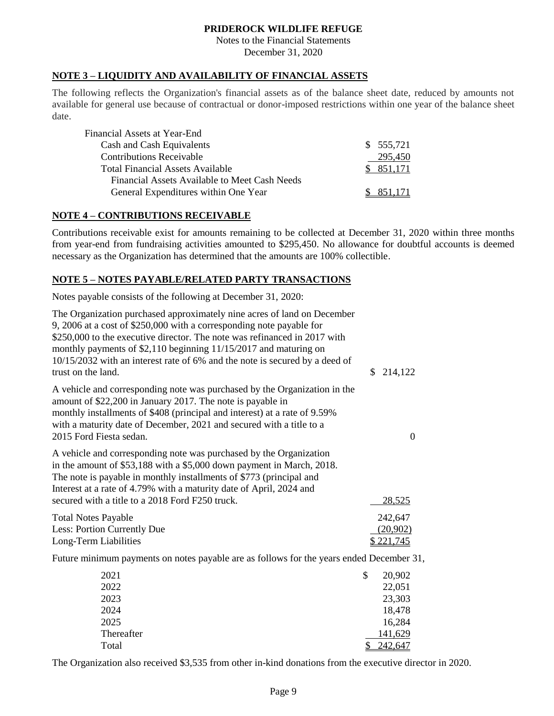Notes to the Financial Statements December 31, 2020

### **NOTE 3 – LIQUIDITY AND AVAILABILITY OF FINANCIAL ASSETS**

The following reflects the Organization's financial assets as of the balance sheet date, reduced by amounts not available for general use because of contractual or donor-imposed restrictions within one year of the balance sheet date.

| <b>Financial Assets at Year-End</b>           |           |
|-----------------------------------------------|-----------|
| Cash and Cash Equivalents                     | \$555,721 |
| <b>Contributions Receivable</b>               | 295,450   |
| <b>Total Financial Assets Available</b>       | \$851,171 |
| Financial Assets Available to Meet Cash Needs |           |
| General Expenditures within One Year          | 851.171   |

#### **NOTE 4 – CONTRIBUTIONS RECEIVABLE**

Contributions receivable exist for amounts remaining to be collected at December 31, 2020 within three months from year-end from fundraising activities amounted to \$295,450. No allowance for doubtful accounts is deemed necessary as the Organization has determined that the amounts are 100% collectible.

#### **NOTE 5 – NOTES PAYABLE/RELATED PARTY TRANSACTIONS**

Notes payable consists of the following at December 31, 2020:

| The Organization purchased approximately nine acres of land on December<br>9, 2006 at a cost of \$250,000 with a corresponding note payable for<br>\$250,000 to the executive director. The note was refinanced in 2017 with<br>monthly payments of \$2,110 beginning 11/15/2017 and maturing on<br>10/15/2032 with an interest rate of 6% and the note is secured by a deed of<br>trust on the land. | \$214,122                         |
|-------------------------------------------------------------------------------------------------------------------------------------------------------------------------------------------------------------------------------------------------------------------------------------------------------------------------------------------------------------------------------------------------------|-----------------------------------|
| A vehicle and corresponding note was purchased by the Organization in the<br>amount of \$22,200 in January 2017. The note is payable in<br>monthly installments of \$408 (principal and interest) at a rate of 9.59%<br>with a maturity date of December, 2021 and secured with a title to a<br>2015 Ford Fiesta sedan.                                                                               | $\Omega$                          |
| A vehicle and corresponding note was purchased by the Organization<br>in the amount of \$53,188 with a \$5,000 down payment in March, 2018.<br>The note is payable in monthly installments of \$773 (principal and<br>Interest at a rate of 4.79% with a maturity date of April, 2024 and<br>secured with a title to a 2018 Ford F250 truck.                                                          | 28,525                            |
| <b>Total Notes Payable</b><br>Less: Portion Currently Due<br>Long-Term Liabilities                                                                                                                                                                                                                                                                                                                    | 242,647<br>(20, 902)<br>\$221,745 |

Future minimum payments on notes payable are as follows for the years ended December 31,

| 2021       | 20,902<br>$\boldsymbol{\mathsf{S}}$ |
|------------|-------------------------------------|
| 2022       | 22,051                              |
| 2023       | 23,303                              |
| 2024       | 18,478                              |
| 2025       | 16,284                              |
| Thereafter | 141,629                             |
| Total      | <u>242,647</u>                      |

The Organization also received \$3,535 from other in-kind donations from the executive director in 2020.